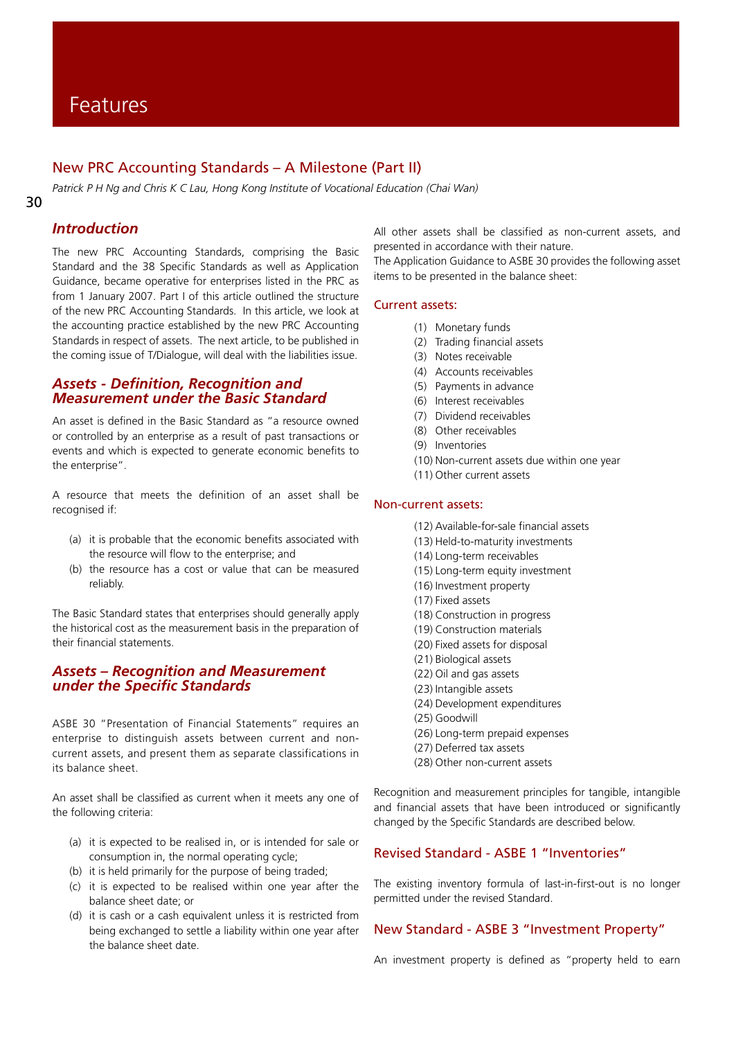# New PRC Accounting Standards – A Milestone (Part II)

*Patrick P H Ng and Chris K C Lau, Hong Kong Institute of Vocational Education (Chai Wan)*

#### 30

## *Introduction*

The new PRC Accounting Standards, comprising the Basic Standard and the 38 Specific Standards as well as Application Guidance, became operative for enterprises listed in the PRC as from 1 January 2007. Part I of this article outlined the structure of the new PRC Accounting Standards. In this article, we look at the accounting practice established by the new PRC Accounting Standards in respect of assets. The next article, to be published in the coming issue of T/Dialogue, will deal with the liabilities issue.

### *Assets - Definition, Recognition and Measurement under the Basic Standard*

An asset is defined in the Basic Standard as "a resource owned or controlled by an enterprise as a result of past transactions or events and which is expected to generate economic benefits to the enterprise".

A resource that meets the definition of an asset shall be recognised if:

- (a) it is probable that the economic benefits associated with the resource will flow to the enterprise; and
- (b) the resource has a cost or value that can be measured reliably.

The Basic Standard states that enterprises should generally apply the historical cost as the measurement basis in the preparation of their financial statements.

### *Assets – Recognition and Measurement under the Specific Standards*

ASBE 30 "Presentation of Financial Statements" requires an enterprise to distinguish assets between current and noncurrent assets, and present them as separate classifications in its balance sheet.

An asset shall be classified as current when it meets any one of the following criteria:

- (a) it is expected to be realised in, or is intended for sale or consumption in, the normal operating cycle;
- (b) it is held primarily for the purpose of being traded;
- (c) it is expected to be realised within one year after the balance sheet date; or
- (d) it is cash or a cash equivalent unless it is restricted from being exchanged to settle a liability within one year after the balance sheet date.

All other assets shall be classified as non-current assets, and presented in accordance with their nature.

The Application Guidance to ASBE 30 provides the following asset items to be presented in the balance sheet:

### Current assets:

- (1) Monetary funds
- (2) Trading financial assets
- (3) Notes receivable
- (4) Accounts receivables
- (5) Payments in advance
- (6) Interest receivables
- (7) Dividend receivables
- (8) Other receivables
- (9) Inventories
- (10) Non-current assets due within one year
- (11) Other current assets

### Non-current assets:

- (12) Available-for-sale financial assets
- (13) Held-to-maturity investments
- (14) Long-term receivables
- (15) Long-term equity investment
- (16) Investment property
- (17) Fixed assets
- (18) Construction in progress
- (19) Construction materials
- (20) Fixed assets for disposal
- (21) Biological assets
- (22) Oil and gas assets
- (23) Intangible assets
- (24) Development expenditures
- (25) Goodwill
- (26) Long-term prepaid expenses
- (27) Deferred tax assets
- (28) Other non-current assets

Recognition and measurement principles for tangible, intangible and financial assets that have been introduced or significantly changed by the Specific Standards are described below.

### Revised Standard - ASBE 1 "Inventories"

The existing inventory formula of last-in-first-out is no longer permitted under the revised Standard.

### New Standard - ASBE 3 "Investment Property"

An investment property is defined as "property held to earn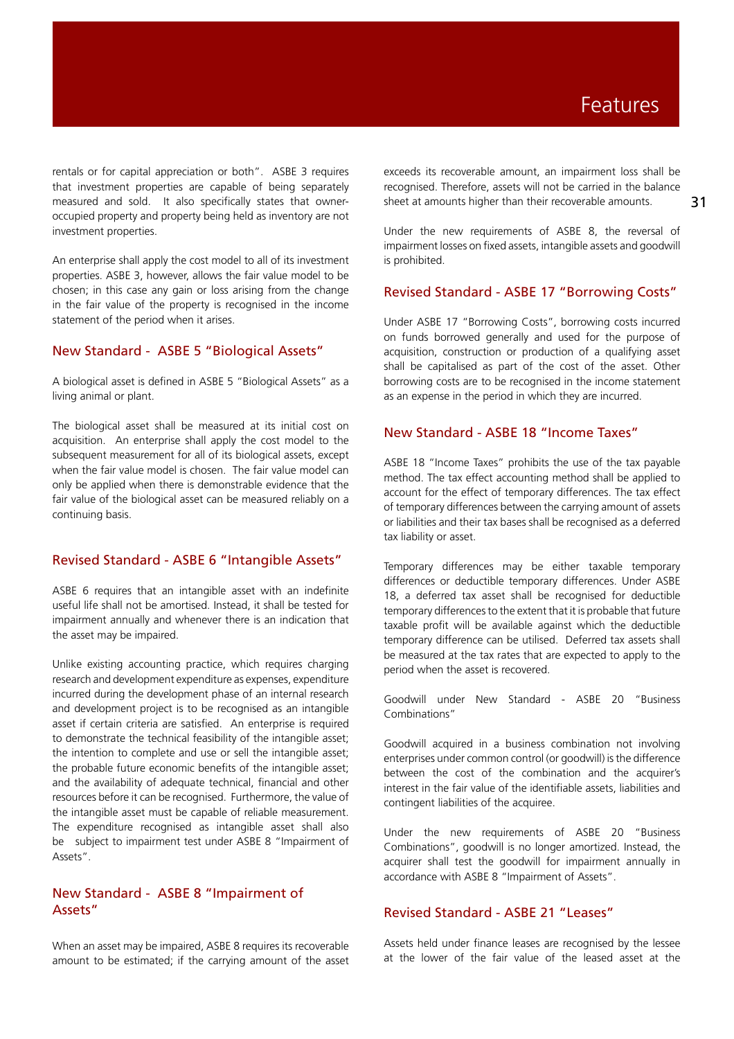# Features

rentals or for capital appreciation or both". ASBE 3 requires that investment properties are capable of being separately measured and sold. It also specifically states that owneroccupied property and property being held as inventory are not investment properties.

An enterprise shall apply the cost model to all of its investment properties. ASBE 3, however, allows the fair value model to be chosen; in this case any gain or loss arising from the change in the fair value of the property is recognised in the income statement of the period when it arises.

### New Standard - ASBE 5 "Biological Assets"

A biological asset is defined in ASBE 5 "Biological Assets" as a living animal or plant.

The biological asset shall be measured at its initial cost on acquisition. An enterprise shall apply the cost model to the subsequent measurement for all of its biological assets, except when the fair value model is chosen. The fair value model can only be applied when there is demonstrable evidence that the fair value of the biological asset can be measured reliably on a continuing basis.

### Revised Standard - ASBE 6 "Intangible Assets"

ASBE 6 requires that an intangible asset with an indefinite useful life shall not be amortised. Instead, it shall be tested for impairment annually and whenever there is an indication that the asset may be impaired.

Unlike existing accounting practice, which requires charging research and development expenditure as expenses, expenditure incurred during the development phase of an internal research and development project is to be recognised as an intangible asset if certain criteria are satisfied. An enterprise is required to demonstrate the technical feasibility of the intangible asset; the intention to complete and use or sell the intangible asset; the probable future economic benefits of the intangible asset; and the availability of adequate technical, financial and other resources before it can be recognised. Furthermore, the value of the intangible asset must be capable of reliable measurement. The expenditure recognised as intangible asset shall also be subject to impairment test under ASBE 8 "Impairment of Assets".

# New Standard - ASBE 8 "Impairment of Assets"

When an asset may be impaired, ASBE 8 requires its recoverable amount to be estimated; if the carrying amount of the asset exceeds its recoverable amount, an impairment loss shall be recognised. Therefore, assets will not be carried in the balance sheet at amounts higher than their recoverable amounts.

31

Under the new requirements of ASBE 8, the reversal of impairment losses on fixed assets, intangible assets and goodwill is prohibited.

### Revised Standard - ASBE 17 "Borrowing Costs"

Under ASBE 17 "Borrowing Costs", borrowing costs incurred on funds borrowed generally and used for the purpose of acquisition, construction or production of a qualifying asset shall be capitalised as part of the cost of the asset. Other borrowing costs are to be recognised in the income statement as an expense in the period in which they are incurred.

### New Standard - ASBE 18 "Income Taxes"

ASBE 18 "Income Taxes" prohibits the use of the tax payable method. The tax effect accounting method shall be applied to account for the effect of temporary differences. The tax effect of temporary differences between the carrying amount of assets or liabilities and their tax bases shall be recognised as a deferred tax liability or asset.

Temporary differences may be either taxable temporary differences or deductible temporary differences. Under ASBE 18, a deferred tax asset shall be recognised for deductible temporary differences to the extent that it is probable that future taxable profit will be available against which the deductible temporary difference can be utilised. Deferred tax assets shall be measured at the tax rates that are expected to apply to the period when the asset is recovered.

Goodwill under New Standard - ASBE 20 "Business Combinations"

Goodwill acquired in a business combination not involving enterprises under common control (or goodwill) is the difference between the cost of the combination and the acquirer's interest in the fair value of the identifiable assets, liabilities and contingent liabilities of the acquiree.

Under the new requirements of ASBE 20 "Business Combinations", goodwill is no longer amortized. Instead, the acquirer shall test the goodwill for impairment annually in accordance with ASBE 8 "Impairment of Assets".

# Revised Standard - ASBE 21 "Leases"

Assets held under finance leases are recognised by the lessee at the lower of the fair value of the leased asset at the